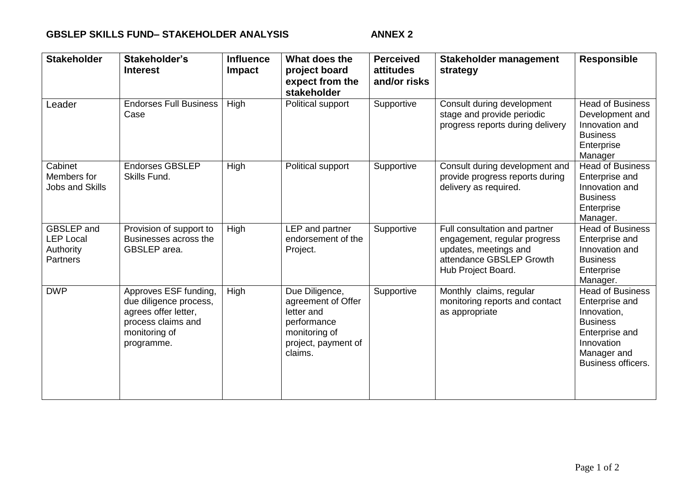## GBSLEP SKILLS FUND- STAKEHOLDER ANALYSIS ANNEX 2

| <b>Stakeholder</b>                                             | Stakeholder's<br><b>Interest</b>                                                                                             | <b>Influence</b><br>Impact | What does the<br>project board<br>expect from the<br>stakeholder                                                     | <b>Perceived</b><br>attitudes<br>and/or risks | Stakeholder management<br>strategy                                                                                                       | <b>Responsible</b>                                                                                                                                      |
|----------------------------------------------------------------|------------------------------------------------------------------------------------------------------------------------------|----------------------------|----------------------------------------------------------------------------------------------------------------------|-----------------------------------------------|------------------------------------------------------------------------------------------------------------------------------------------|---------------------------------------------------------------------------------------------------------------------------------------------------------|
| Leader                                                         | <b>Endorses Full Business</b><br>Case                                                                                        | High                       | Political support                                                                                                    | Supportive                                    | Consult during development<br>stage and provide periodic<br>progress reports during delivery                                             | <b>Head of Business</b><br>Development and<br>Innovation and<br><b>Business</b><br>Enterprise<br>Manager                                                |
| Cabinet<br>Members for<br><b>Jobs and Skills</b>               | <b>Endorses GBSLEP</b><br>Skills Fund.                                                                                       | High                       | Political support                                                                                                    | Supportive                                    | Consult during development and<br>provide progress reports during<br>delivery as required.                                               | <b>Head of Business</b><br>Enterprise and<br>Innovation and<br><b>Business</b><br>Enterprise<br>Manager.                                                |
| <b>GBSLEP</b> and<br><b>LEP Local</b><br>Authority<br>Partners | Provision of support to<br>Businesses across the<br>GBSLEP area.                                                             | High                       | LEP and partner<br>endorsement of the<br>Project.                                                                    | Supportive                                    | Full consultation and partner<br>engagement, regular progress<br>updates, meetings and<br>attendance GBSLEP Growth<br>Hub Project Board. | <b>Head of Business</b><br>Enterprise and<br>Innovation and<br><b>Business</b><br>Enterprise<br>Manager.                                                |
| <b>DWP</b>                                                     | Approves ESF funding,<br>due diligence process,<br>agrees offer letter,<br>process claims and<br>monitoring of<br>programme. | High                       | Due Diligence,<br>agreement of Offer<br>letter and<br>performance<br>monitoring of<br>project, payment of<br>claims. | Supportive                                    | Monthly claims, regular<br>monitoring reports and contact<br>as appropriate                                                              | <b>Head of Business</b><br>Enterprise and<br>Innovation,<br><b>Business</b><br>Enterprise and<br>Innovation<br>Manager and<br><b>Business officers.</b> |